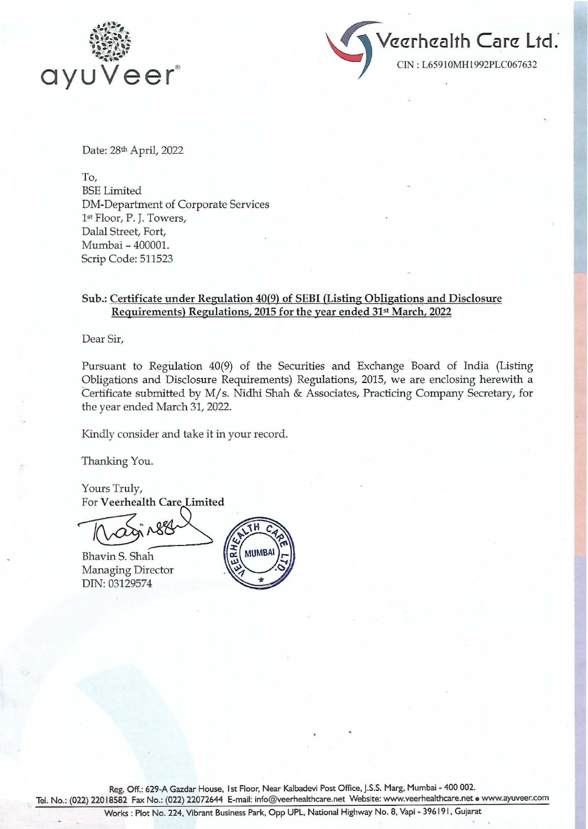



Date: 28th April, 2022

To, BSE Limited DM-Department of Corporate Services 1st Floor, P. J. Towers, Dalal Street, Fort, Mumbai - 400001. Scrip Code: 511523

## Sub.: Certificate under Regulation 40(9) of SEBI (Listing Obligations and Disclosure Requirements) Regulations, 2015 for the year ended 31st March, 2022

Dear Sir,

Pursuant to Regulation 40(9) of the Securities and Exchange Board of India (Listing Obligations and Disclosure Requirements) Regulations, 2015, we are enclosing herewith a Certificate submitted by M/s. Nidhi Shah & Associates, Practicing Company Secretary, for the year ended March 31, 2022.

Kindly consider and take it in your record.

Thanking You.

Yours Truly, For Veerhealth Care Limited

Bhavin S. Shah Managing Director DIN: 03129574



Reg. Off.: 629-A Gazdar House, I st Floor, Near Kalbadevi Post Office, J.S.S. Marg, Mumbai - 400 002. Tel. No.: (022) 22018582 Fax No.: (022) 22072644 E-mail: info@veerhealthcare.net Website: www.veerhealthcare.net • www.ayuveer.com